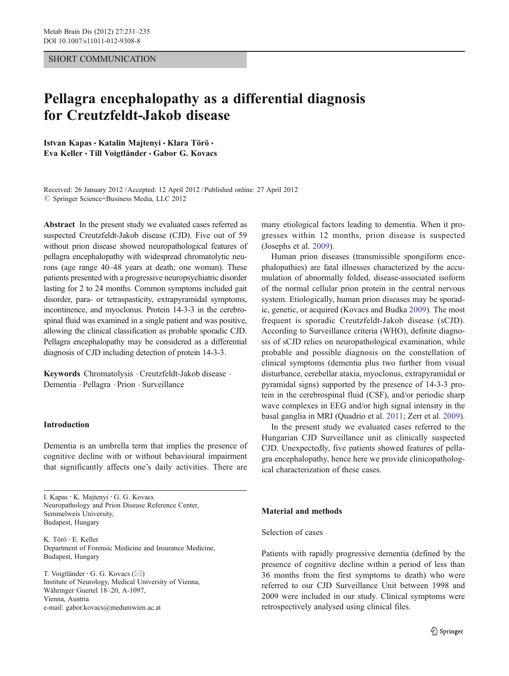### SHORT COMMUNICATION

# Pellagra encephalopathy as a differential diagnosis for Creutzfeldt-Jakob disease

Istvan Kapas · Katalin Majtenyi · Klara Törö · Eva Keller & Till Voigtländer & Gabor G. Kovacs

 $\oslash$  Springer Science+Business Media, LLC 2012 Received: 26 January 2012 /Accepted: 12 April 2012 / Published online: 27 April 2012

Abstract In the present study we evaluated cases referred as suspected Creutzfeldt-Jakob disease (CJD). Five out of 59 without prion disease showed neuropathological features of pellagra encephalopathy with widespread chromatolytic neurons (age range 40–48 years at death; one woman). These patients presented with a progressive neuropsychiatric disorder lasting for 2 to 24 months. Common symptoms included gait disorder, para- or tetraspasticity, extrapyramidal symptoms, incontinence, and myoclonus. Protein 14-3-3 in the cerebrospinal fluid was examined in a single patient and was positive, allowing the clinical classification as probable sporadic CJD. Pellagra encephalopathy may be considered as a differential diagnosis of CJD including detection of protein 14-3-3.

Keywords Chromatolysis · Creutzfeldt-Jakob disease · Dementia . Pellagra . Prion . Surveillance

# Introduction

Dementia is an umbrella term that implies the presence of cognitive decline with or without behavioural impairment that significantly affects one's daily activities. There are

I. Kapas: K. Majtenyi : G. G. Kovacs Neuropathology and Prion Disease Reference Center, Semmelweis University, Budapest, Hungary

K. Törö : E. Keller Department of Forensic Medicine and Insurance Medicine, Budapest, Hungary

T. Voigtländer  $\cdot$  G. G. Kovacs ( $\boxtimes$ ) Institute of Neurology, Medical University of Vienna, Währinger Guertel 18–20, A-1097, Vienna, Austria e-mail: gabor.kovacs@meduniwien.ac.at

many etiological factors leading to dementia. When it progresses within 12 months, prion disease is suspected (Josephs et al. [2009\)](#page-4-0).

Human prion diseases (transmissible spongiform encephalopathies) are fatal illnesses characterized by the accumulation of abnormally folded, disease-associated isoform of the normal cellular prion protein in the central nervous system. Etiologically, human prion diseases may be sporadic, genetic, or acquired (Kovacs and Budka [2009](#page-4-0)). The most frequent is sporadic Creutzfeldt-Jakob disease (sCJD). According to Surveillance criteria (WHO), definite diagnosis of sCJD relies on neuropathological examination, while probable and possible diagnosis on the constellation of clinical symptoms (dementia plus two further from visual disturbance, cerebellar ataxia, myoclonus, extrapyramidal or pyramidal signs) supported by the presence of 14-3-3 protein in the cerebrospinal fluid (CSF), and/or periodic sharp wave complexes in EEG and/or high signal intensity in the basal ganglia in MRI (Quadrio et al. [2011](#page-4-0); Zerr et al. [2009\)](#page-4-0).

In the present study we evaluated cases referred to the Hungarian CJD Surveillance unit as clinically suspected CJD. Unexpectedly, five patients showed features of pellagra encephalopathy, hence here we provide clinicopathological characterization of these cases.

#### Material and methods

#### Selection of cases

Patients with rapidly progressive dementia (defined by the presence of cognitive decline within a period of less than 36 months from the first symptoms to death) who were referred to our CJD Surveillance Unit between 1998 and 2009 were included in our study. Clinical symptoms were retrospectively analysed using clinical files.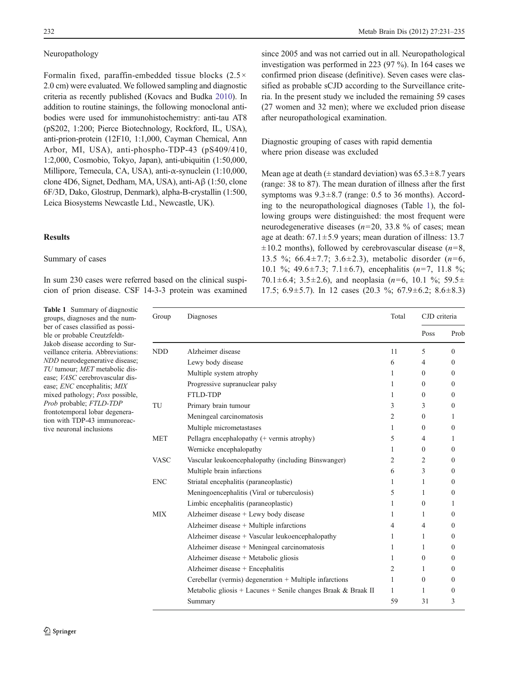# <span id="page-1-0"></span>Neuropathology

Formalin fixed, paraffin-embedded tissue blocks  $(2.5 \times$ 2.0 cm) were evaluated. We followed sampling and diagnostic criteria as recently published (Kovacs and Budka [2010\)](#page-4-0). In addition to routine stainings, the following monoclonal antibodies were used for immunohistochemistry: anti-tau AT8 (pS202, 1:200; Pierce Biotechnology, Rockford, IL, USA), anti-prion-protein (12F10, 1:1,000, Cayman Chemical, Ann Arbor, MI, USA), anti-phospho-TDP-43 (pS409/410, 1:2,000, Cosmobio, Tokyo, Japan), anti-ubiquitin (1:50,000, Millipore, Temecula, CA, USA), anti-α-synuclein (1:10,000, clone 4D6, Signet, Dedham, MA, USA), anti-Aβ (1:50, clone 6F/3D, Dako, Glostrup, Denmark), alpha-B-crystallin (1:500, Leica Biosystems Newcastle Ltd., Newcastle, UK).

## Results

## Summary of cases

In sum 230 cases were referred based on the clinical suspicion of prion disease. CSF 14-3-3 protein was examined

Table 1 Summary of diagnostic groups, diagnoses and the number of cases classified as possible or probable Creutzfeldt-Jakob disease according to Surveillance criteria. Abbreviations: NDD neurodegenerative disease; TU tumour; MET metabolic disease; VASC cerebrovascular disease; ENC encephalitis; MIX mixed pathology; Poss possible, Prob probable; FTLD-TDP frontotemporal lobar degeneration with TDP-43 immunoreactive neuronal inclusions

since 2005 and was not carried out in all. Neuropathological investigation was performed in 223 (97 %). In 164 cases we confirmed prion disease (definitive). Seven cases were classified as probable sCJD according to the Surveillance criteria. In the present study we included the remaining 59 cases (27 women and 32 men); where we excluded prion disease after neuropathological examination.

Diagnostic grouping of cases with rapid dementia where prion disease was excluded

Mean age at death ( $\pm$  standard deviation) was 65.3 $\pm$ 8.7 years (range: 38 to 87). The mean duration of illness after the first symptoms was  $9.3 \pm 8.7$  (range: 0.5 to 36 months). According to the neuropathological diagnoses (Table 1), the following groups were distinguished: the most frequent were neurodegenerative diseases ( $n=20$ , 33.8 % of cases; mean age at death:  $67.1 \pm 5.9$  years; mean duration of illness: 13.7  $\pm 10.2$  months), followed by cerebrovascular disease (*n*=8, 13.5 %; 66.4 $\pm$ 7.7; 3.6 $\pm$ 2.3), metabolic disorder (n=6, 10.1 %; 49.6 $\pm$ 7.3; 7.1 $\pm$ 6.7), encephalitis (*n*=7, 11.8 %; 70.1 $\pm$ 6.4; 3.5 $\pm$ 2.6), and neoplasia (n=6, 10.1 %; 59.5 $\pm$ 17.5; 6.9 $\pm$ 5.7). In 12 cases (20.3 %; 67.9 $\pm$ 6.2; 8.6 $\pm$ 8.3)

| Group       | Diagnoses                                                     | Total          | CJD criteria   |              |
|-------------|---------------------------------------------------------------|----------------|----------------|--------------|
|             |                                                               |                | Poss           | Prob         |
| <b>NDD</b>  | Alzheimer disease                                             | 11             | 5              | $\theta$     |
|             | Lewy body disease                                             | 6              | 4              | $\Omega$     |
|             | Multiple system atrophy                                       | 1              | $\theta$       | $\theta$     |
|             | Progressive supranuclear palsy                                | 1              | $\theta$       | $\Omega$     |
|             | FTLD-TDP                                                      | 1              | $\Omega$       | $\Omega$     |
| TU          | Primary brain tumour                                          | 3              | 3              | $\mathbf{0}$ |
|             | Meningeal carcinomatosis                                      | $\overline{c}$ | $\theta$       | 1            |
|             | Multiple micrometastases                                      | 1              | $\theta$       | $\Omega$     |
| <b>MET</b>  | Pellagra encephalopathy (+ vermis atrophy)                    | 5              | $\overline{4}$ | 1            |
|             | Wernicke encephalopathy                                       | 1              | $\theta$       | $\Omega$     |
| <b>VASC</b> | Vascular leukoencephalopathy (including Binswanger)           | 2              | 2              | $\mathbf{0}$ |
|             | Multiple brain infarctions                                    | 6              | 3              | $\theta$     |
| <b>ENC</b>  | Striatal encephalitis (paraneoplastic)                        | 1              | 1              | $\Omega$     |
|             | Meningoencephalitis (Viral or tuberculosis)                   | 5              | 1              | $\theta$     |
|             | Limbic encephalitis (paraneoplastic)                          | 1              | $\theta$       | 1            |
| MIX         | Alzheimer disease + Lewy body disease                         | 1              | 1              | $\theta$     |
|             | Alzheimer disease + Multiple infarctions                      | 4              | 4              | $\theta$     |
|             | Alzheimer disease + Vascular leukoencephalopathy              | 1              | 1              | 0            |
|             | Alzheimer disease + Meningeal carcinomatosis                  | 1              | 1              | $\theta$     |
|             | Alzheimer disease + Metabolic gliosis                         | 1              | $\theta$       | $\theta$     |
|             | Alzheimer disease + Encephalitis                              | 2              | 1              | $\Omega$     |
|             | Cerebellar (vermis) degeneration + Multiple infarctions       | 1              | $\theta$       | 0            |
|             | Metabolic gliosis + Lacunes + Senile changes Braak & Braak II | 1              | 1              | $\theta$     |
|             | Summary                                                       | 59             | 31             | 3            |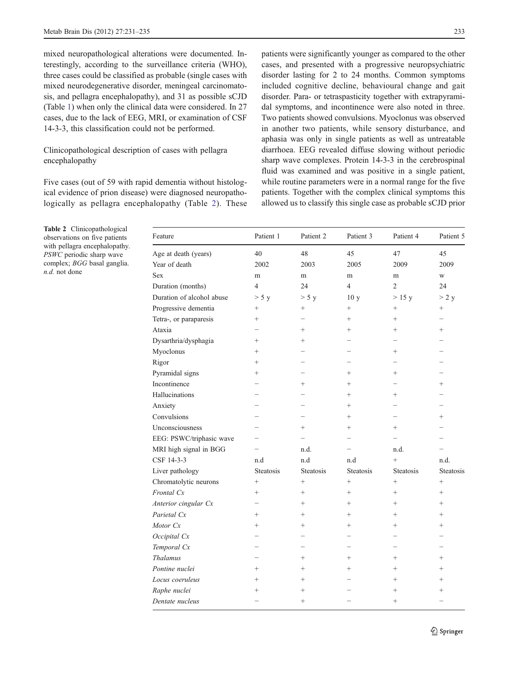<span id="page-2-0"></span>mixed neuropathological alterations were documented. Interestingly, according to the surveillance criteria (WHO), three cases could be classified as probable (single cases with mixed neurodegenerative disorder, meningeal carcinomatosis, and pellagra encephalopathy), and 31 as possible sCJD (Table [1\)](#page-1-0) when only the clinical data were considered. In 27 cases, due to the lack of EEG, MRI, or examination of CSF 14-3-3, this classification could not be performed.

# Clinicopathological description of cases with pellagra encephalopathy

Five cases (out of 59 with rapid dementia without histological evidence of prion disease) were diagnosed neuropathologically as pellagra encephalopathy (Table 2). These

Table 2 Clinicopathological observations on five patients with pellagra encephalopathy. PSWC periodic sharp wave complex; BGG basal ganglia. n.d. not done

patients were significantly younger as compared to the other cases, and presented with a progressive neuropsychiatric disorder lasting for 2 to 24 months. Common symptoms included cognitive decline, behavioural change and gait disorder. Para- or tetraspasticity together with extrapyramidal symptoms, and incontinence were also noted in three. Two patients showed convulsions. Myoclonus was observed in another two patients, while sensory disturbance, and aphasia was only in single patients as well as untreatable diarrhoea. EEG revealed diffuse slowing without periodic sharp wave complexes. Protein 14-3-3 in the cerebrospinal fluid was examined and was positive in a single patient, while routine parameters were in a normal range for the five patients. Together with the complex clinical symptoms this allowed us to classify this single case as probable sCJD prior

| Feature                   | Patient 1                | Patient 2                | Patient 3        | Patient 4        | Patient 5                |
|---------------------------|--------------------------|--------------------------|------------------|------------------|--------------------------|
| Age at death (years)      | 40                       | 48                       | 45               | 47               | 45                       |
| Year of death             | 2002                     | 2003                     | 2005             | 2009             | 2009                     |
| <b>Sex</b>                | m                        | m                        | m                | m                | W                        |
| Duration (months)         | $\overline{4}$           | 24                       | $\overline{4}$   | $\overline{2}$   | 24                       |
| Duration of alcohol abuse | > 5 y                    | > 5 y                    | 10 <sub>y</sub>  | $>15$ y          | > 2 y                    |
| Progressive dementia      | $+$                      | $+$                      | $^{+}$           | $+$              | $+$                      |
| Tetra-, or paraparesis    | $\ddot{}$                | $\overline{\phantom{0}}$ | $\ddot{}$        | $\ddot{}$        | $\overline{\phantom{0}}$ |
| Ataxia                    | $\overline{\phantom{0}}$ | $+$                      | $^{+}$           | $+$              | $+$                      |
| Dysarthria/dysphagia      | $^{+}$                   | $^{+}$                   |                  |                  |                          |
| Myoclonus                 | $\ddot{}$                |                          |                  | $+$              |                          |
| Rigor                     | $^{+}$                   |                          |                  |                  |                          |
| Pyramidal signs           | $^{+}$                   |                          | $^{+}$           | $+$              |                          |
| Incontinence              |                          | $+$                      | $^{+}$           |                  | $+$                      |
| Hallucinations            | —                        |                          | $^{+}$           | $+$              |                          |
| Anxiety                   |                          |                          | $^{+}$           |                  |                          |
| Convulsions               |                          |                          | $^{+}$           |                  | $^{+}$                   |
| Unconsciousness           |                          | $+$                      | $+$              | $+$              |                          |
| EEG: PSWC/triphasic wave  | $\overline{\phantom{0}}$ | $=$                      | $=$              |                  |                          |
| MRI high signal in BGG    | $\equiv$                 | n.d.                     | $\equiv$         | n.d.             |                          |
| CSF 14-3-3                | n.d                      | n.d                      | n.d              | $+$              | n.d.                     |
| Liver pathology           | <b>Steatosis</b>         | <b>Steatosis</b>         | <b>Steatosis</b> | <b>Steatosis</b> | <b>Steatosis</b>         |
| Chromatolytic neurons     | $^{+}$                   | $\! + \!$                | $^{+}$           | $+$              | $\! +$                   |
| Frontal Cx                | $^{+}$                   | $\qquad \qquad +$        | $^{+}$           | $^{+}$           | $+$                      |
| Anterior cingular Cx      |                          | $+$                      | $+$              | $+$              | $+$                      |
| Parietal Cx               | $^{+}$                   | $+$                      | $+$              | $+$              | $+$                      |
| Motor Cx                  | $^{+}$                   | $\qquad \qquad +$        | $^{+}$           | $+$              | $+$                      |
| Occipital Cx              |                          |                          |                  |                  |                          |
| Temporal Cx               | $\overline{\phantom{0}}$ |                          | $\equiv$         |                  |                          |
| <b>Thalamus</b>           | $\overline{\phantom{0}}$ | $+$                      | $^{+}$           | $+$              | $+$                      |
| Pontine nuclei            | $^{+}$                   | $\qquad \qquad +$        | $^{+}$           | $+$              | $+$                      |
| Locus coeruleus           | $^{+}$                   | $\ddot{}$                |                  | $+$              | $+$                      |
| Raphe nuclei              | $^{+}$                   | $^{+}$                   |                  | $^{+}$           | $^{+}$                   |
| Dentate nucleus           |                          | $^{+}$                   |                  | $^{+}$           |                          |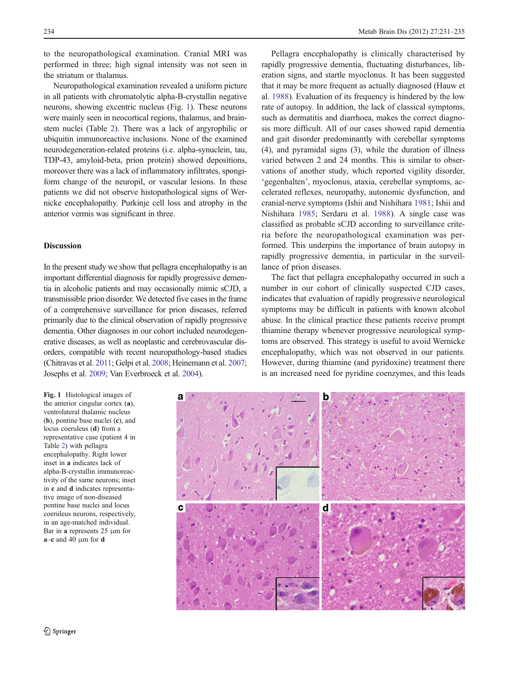to the neuropathological examination. Cranial MRI was performed in three; high signal intensity was not seen in the striatum or thalamus.

Neuropathological examination revealed a uniform picture in all patients with chromatolytic alpha-B-crystallin negative neurons, showing excentric nucleus (Fig. 1). These neurons were mainly seen in neocortical regions, thalamus, and brainstem nuclei (Table [2](#page-2-0)). There was a lack of argyrophilic or ubiquitin immunoreactive inclusions. None of the examined neurodegeneration-related proteins (i.e. alpha-synuclein, tau, TDP-43, amyloid-beta, prion protein) showed depositions, moreover there was a lack of inflammatory infiltrates, spongiform change of the neuropil, or vascular lesions. In these patients we did not observe histopathological signs of Wernicke encephalopathy. Purkinje cell loss and atrophy in the anterior vermis was significant in three.

## Discussion

In the present study we show that pellagra encephalopathy is an important differential diagnosis for rapidly progressive dementia in alcoholic patients and may occasionally mimic sCJD, a transmissible prion disorder. We detected five cases in the frame of a comprehensive surveillance for prion diseases, referred primarily due to the clinical observation of rapidly progressive dementia. Other diagnoses in our cohort included neurodegenerative diseases, as well as neoplastic and cerebrovascular disorders, compatible with recent neuropathology-based studies (Chitravas et al. [2011;](#page-4-0) Gelpi et al. [2008](#page-4-0); Heinemann et al. [2007](#page-4-0); Josephs et al. [2009](#page-4-0); Van Everbroeck et al. [2004\)](#page-4-0).

Fig. 1 Histological images of the anterior cingular cortex (a), ventrolateral thalamic nucleus (b), pontine base nuclei (c), and locus coeruleus (d) from a representative case (patient 4 in Table [2](#page-2-0)) with pellagra encephalopathy. Right lower inset in a indicates lack of alpha-B-crystallin immunoreactivity of the same neurons; inset in c and d indicates representative image of non-diseased pontine base nuclei and locus coeruleus neurons, respectively, in an age-matched individual. Bar in a represents 25 μm for  $a-c$  and 40  $\mu$ m for d

Pellagra encephalopathy is clinically characterised by rapidly progressive dementia, fluctuating disturbances, liberation signs, and startle myoclonus. It has been suggested that it may be more frequent as actually diagnosed (Hauw et al. [1988](#page-4-0)). Evaluation of its frequency is hindered by the low rate of autopsy. In addition, the lack of classical symptoms, such as dermatitis and diarrhoea, makes the correct diagnosis more difficult. All of our cases showed rapid dementia and gait disorder predominantly with cerebellar symptoms (4), and pyramidal signs (3), while the duration of illness varied between 2 and 24 months. This is similar to observations of another study, which reported vigility disorder, 'gegenhalten', myoclonus, ataxia, cerebellar symptoms, accelerated reflexes, neuropathy, autonomic dysfunction, and cranial-nerve symptoms (Ishii and Nishihara [1981;](#page-4-0) Ishii and Nishihara [1985](#page-4-0); Serdaru et al. [1988](#page-4-0)). A single case was classified as probable sCJD according to surveillance criteria before the neuropathological examination was performed. This underpins the importance of brain autopsy in rapidly progressive dementia, in particular in the surveillance of prion diseases.

The fact that pellagra encephalopathy occurred in such a number in our cohort of clinically suspected CJD cases, indicates that evaluation of rapidly progressive neurological symptoms may be difficult in patients with known alcohol abuse. In the clinical practice these patients receive prompt thiamine therapy whenever progressive neurological symptoms are observed. This strategy is useful to avoid Wernicke encephalopathy, which was not observed in our patients. However, during thiamine (and pyridoxine) treatment there is an increased need for pyridine coenzymes, and this leads